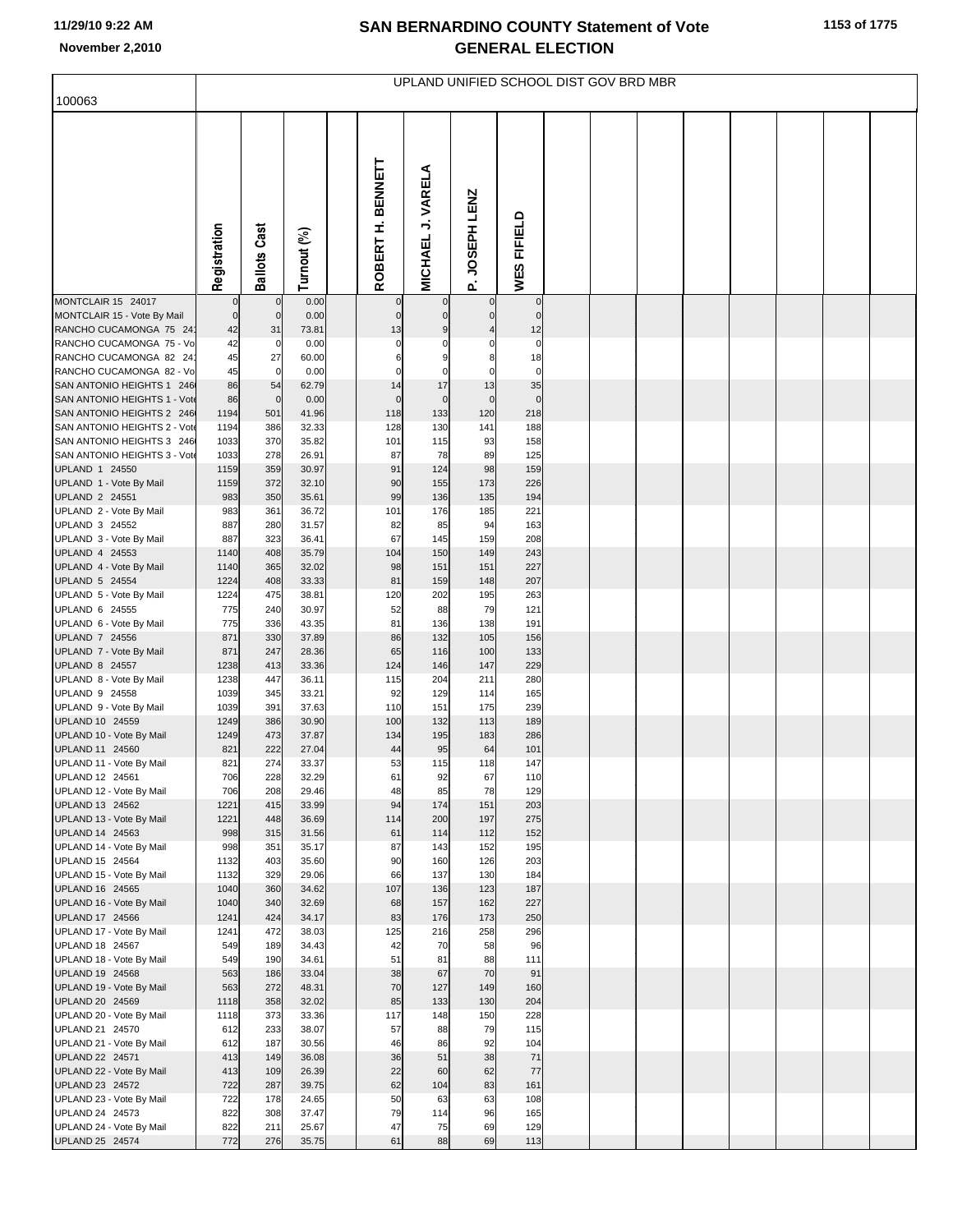## **SAN BERNARDINO COUNTY Statement of Vote November 2,2010 GENERAL ELECTION**

| 100063                                                    | UPLAND UNIFIED SCHOOL DIST GOV BRD MBR |                     |                |  |                        |                             |                   |                      |  |  |  |  |  |  |  |
|-----------------------------------------------------------|----------------------------------------|---------------------|----------------|--|------------------------|-----------------------------|-------------------|----------------------|--|--|--|--|--|--|--|
|                                                           |                                        |                     |                |  |                        |                             |                   |                      |  |  |  |  |  |  |  |
|                                                           | Registration                           | <b>Ballots Cast</b> | Turnout (%)    |  | BENNETT<br>Ì<br>ROBERT | J. VARELA<br><b>MICHAEL</b> | P. JOSEPH LENZ    | WES FIFIELD          |  |  |  |  |  |  |  |
| MONTCLAIR 15 24017                                        |                                        | $\mathbf 0$         | 0.00           |  | $\mathbf 0$            | $\mathbf 0$                 |                   | $\circ$              |  |  |  |  |  |  |  |
| MONTCLAIR 15 - Vote By Mail<br>RANCHO CUCAMONGA 75 24     | $\mathbf 0$<br>42                      | $\mathbf 0$<br>31   | 0.00<br>73.81  |  | $\mathbf 0$<br>13      | $\mathbf 0$<br>9            | $\mathbf{0}$      | $\overline{0}$<br>12 |  |  |  |  |  |  |  |
| RANCHO CUCAMONGA 75 - Vo                                  | 42                                     | 0                   | 0.00           |  | $\mathbf 0$            |                             |                   | $\mathbf 0$          |  |  |  |  |  |  |  |
| RANCHO CUCAMONGA 82 24                                    | 45                                     | 27                  | 60.00          |  | 6                      | 9                           |                   | 18                   |  |  |  |  |  |  |  |
| RANCHO CUCAMONGA 82 - Vo                                  | 45                                     | $\mathbf 0$         | 0.00           |  | 0                      | $\Omega$                    | C                 | $\mathbf 0$          |  |  |  |  |  |  |  |
| SAN ANTONIO HEIGHTS 1 246<br>SAN ANTONIO HEIGHTS 1 - Vote | 86<br>86                               | 54<br>$\mathbf 0$   | 62.79<br>0.00  |  | 14<br>$\mathbf 0$      | 17<br>$\mathbf 0$           | 13<br>$\mathbf 0$ | 35<br>$\mathbf 0$    |  |  |  |  |  |  |  |
| SAN ANTONIO HEIGHTS 2 246                                 | 1194                                   | 501                 | 41.96          |  | 118                    | 133                         | 120               | 218                  |  |  |  |  |  |  |  |
| SAN ANTONIO HEIGHTS 2 - Vote                              | 1194                                   | 386                 | 32.33          |  | 128                    | 130                         | 141               | 188                  |  |  |  |  |  |  |  |
| SAN ANTONIO HEIGHTS 3 246                                 | 1033                                   | 370                 | 35.82          |  | 101                    | 115                         | 93                | 158                  |  |  |  |  |  |  |  |
| SAN ANTONIO HEIGHTS 3 - Vote<br>UPLAND 1 24550            | 1033<br>1159                           | 278<br>359          | 26.91<br>30.97 |  | 87<br>91               | 78<br>124                   | 89<br>98          | 125<br>159           |  |  |  |  |  |  |  |
| UPLAND 1 - Vote By Mail                                   | 1159                                   | 372                 | 32.10          |  | 90                     | 155                         | 173               | 226                  |  |  |  |  |  |  |  |
| UPLAND 2 24551                                            | 983                                    | 350                 | 35.61          |  | 99                     | 136                         | 135               | 194                  |  |  |  |  |  |  |  |
| UPLAND 2 - Vote By Mail                                   | 983                                    | 361                 | 36.72          |  | 101                    | 176                         | 185               | 221                  |  |  |  |  |  |  |  |
| UPLAND 3 24552<br>UPLAND 3 - Vote By Mail                 | 887<br>887                             | 280<br>323          | 31.57<br>36.41 |  | 82<br>67               | 85<br>145                   | 94<br>159         | 163<br>208           |  |  |  |  |  |  |  |
| UPLAND 4 24553                                            | 1140                                   | 408                 | 35.79          |  | 104                    | 150                         | 149               | 243                  |  |  |  |  |  |  |  |
| UPLAND 4 - Vote By Mail                                   | 1140                                   | 365                 | 32.02          |  | 98                     | 151                         | 151               | 227                  |  |  |  |  |  |  |  |
| UPLAND 5 24554                                            | 1224                                   | 408                 | 33.33          |  | 81                     | 159                         | 148               | 207                  |  |  |  |  |  |  |  |
| UPLAND 5 - Vote By Mail<br>UPLAND 6 24555                 | 1224<br>775                            | 475<br>240          | 38.81<br>30.97 |  | 120<br>52              | 202<br>88                   | 195<br>79         | 263<br>121           |  |  |  |  |  |  |  |
| UPLAND 6 - Vote By Mail                                   | 775                                    | 336                 | 43.35          |  | 81                     | 136                         | 138               | 191                  |  |  |  |  |  |  |  |
| UPLAND 7 24556                                            | 871                                    | 330                 | 37.89          |  | 86                     | 132                         | 105               | 156                  |  |  |  |  |  |  |  |
| UPLAND 7 - Vote By Mail<br>UPLAND 8 24557                 | 871<br>1238                            | 247<br>413          | 28.36<br>33.36 |  | 65<br>124              | 116<br>146                  | 100<br>147        | 133<br>229           |  |  |  |  |  |  |  |
| UPLAND 8 - Vote By Mail                                   | 1238                                   | 447                 | 36.11          |  | 115                    | 204                         | 211               | 280                  |  |  |  |  |  |  |  |
| UPLAND 9 24558                                            | 1039                                   | 345                 | 33.21          |  | 92                     | 129                         | 114               | 165                  |  |  |  |  |  |  |  |
| UPLAND 9 - Vote By Mail                                   | 1039                                   | 391                 | 37.63          |  | 110                    | 151                         | 175               | 239                  |  |  |  |  |  |  |  |
| UPLAND 10 24559<br>UPLAND 10 - Vote By Mail               | 1249<br>1249                           | 386<br>473          | 30.90<br>37.87 |  | 100<br>134             | 132<br>195                  | 113<br>183        | 189<br>286           |  |  |  |  |  |  |  |
| UPLAND 11 24560                                           | 821                                    | 222                 | 27.04          |  | 44                     | 95                          | 64                | 101                  |  |  |  |  |  |  |  |
| UPLAND 11 - Vote By Mail                                  | 821                                    | 274                 | 33.37          |  | 53                     | 115                         | 118               | 147                  |  |  |  |  |  |  |  |
| UPLAND 12 24561                                           | 706                                    | 228                 | 32.29          |  | 61                     | 92                          | 67                | 110                  |  |  |  |  |  |  |  |
| UPLAND 12 - Vote By Mail<br>UPLAND 13 24562               | 706<br>1221                            | 208<br>415          | 29.46<br>33.99 |  | 48<br>94               | 85<br>174                   | 78<br>151         | 129<br>203           |  |  |  |  |  |  |  |
| UPLAND 13 - Vote By Mail                                  | 1221                                   | 448                 | 36.69          |  | 114                    | 200                         | 197               | 275                  |  |  |  |  |  |  |  |
| UPLAND 14 24563                                           | 998                                    | 315                 | 31.56          |  | 61                     | 114                         | 112               | 152                  |  |  |  |  |  |  |  |
| UPLAND 14 - Vote By Mail<br>UPLAND 15 24564               | 998<br>1132                            | 351<br>403          | 35.17<br>35.60 |  | 87<br>90               | 143<br>160                  | 152<br>126        | 195<br>203           |  |  |  |  |  |  |  |
| UPLAND 15 - Vote By Mail                                  | 1132                                   | 329                 | 29.06          |  | 66                     | 137                         | 130               | 184                  |  |  |  |  |  |  |  |
| UPLAND 16 24565                                           | 1040                                   | 360                 | 34.62          |  | 107                    | 136                         | 123               | 187                  |  |  |  |  |  |  |  |
| UPLAND 16 - Vote By Mail                                  | 1040                                   | 340                 | 32.69          |  | 68                     | 157                         | 162               | 227                  |  |  |  |  |  |  |  |
| UPLAND 17 24566<br>UPLAND 17 - Vote By Mail               | 1241<br>1241                           | 424<br>472          | 34.17<br>38.03 |  | 83<br>125              | 176<br>216                  | 173<br>258        | 250<br>296           |  |  |  |  |  |  |  |
| UPLAND 18 24567                                           | 549                                    | 189                 | 34.43          |  | 42                     | 70                          | 58                | 96                   |  |  |  |  |  |  |  |
| UPLAND 18 - Vote By Mail                                  | 549                                    | 190                 | 34.61          |  | 51                     | 81                          | 88                | 111                  |  |  |  |  |  |  |  |
| UPLAND 19 24568                                           | 563                                    | 186                 | 33.04          |  | 38                     | 67                          | 70                | 91                   |  |  |  |  |  |  |  |
| UPLAND 19 - Vote By Mail<br>UPLAND 20 24569               | 563<br>1118                            | 272<br>358          | 48.31<br>32.02 |  | 70<br>85               | 127<br>133                  | 149<br>130        | 160<br>204           |  |  |  |  |  |  |  |
| UPLAND 20 - Vote By Mail                                  | 1118                                   | 373                 | 33.36          |  | 117                    | 148                         | 150               | 228                  |  |  |  |  |  |  |  |
| UPLAND 21 24570                                           | 612                                    | 233                 | 38.07          |  | 57                     | 88                          | 79                | 115                  |  |  |  |  |  |  |  |
| UPLAND 21 - Vote By Mail                                  | 612                                    | 187                 | 30.56          |  | 46                     | 86<br>51                    | 92                | 104                  |  |  |  |  |  |  |  |
| UPLAND 22 24571<br>UPLAND 22 - Vote By Mail               | 413<br>413                             | 149<br>109          | 36.08<br>26.39 |  | 36<br>22               | 60                          | 38<br>62          | 71<br>77             |  |  |  |  |  |  |  |
| UPLAND 23 24572                                           | 722                                    | 287                 | 39.75          |  | 62                     | 104                         | 83                | 161                  |  |  |  |  |  |  |  |
| UPLAND 23 - Vote By Mail                                  | 722                                    | 178                 | 24.65          |  | 50                     | 63                          | 63                | 108                  |  |  |  |  |  |  |  |
| UPLAND 24 24573<br>UPLAND 24 - Vote By Mail               | 822<br>822                             | 308<br>211          | 37.47<br>25.67 |  | 79<br>47               | 114<br>75                   | 96<br>69          | 165<br>129           |  |  |  |  |  |  |  |
| UPLAND 25 24574                                           | 772                                    | 276                 | 35.75          |  | 61                     | 88                          | 69                | 113                  |  |  |  |  |  |  |  |
|                                                           |                                        |                     |                |  |                        |                             |                   |                      |  |  |  |  |  |  |  |